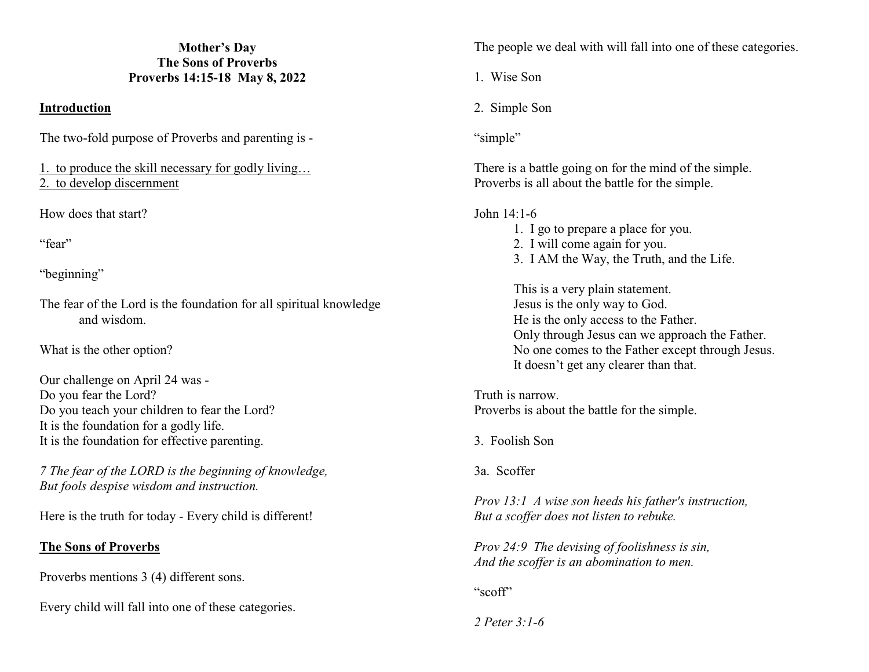#### **Mother's Day The Sons of Proverbs Proverbs 14:15-18 May 8, 2022**

### **Introduction**

The two-fold purpose of Proverbs and parenting is -

1. to produce the skill necessary for godly living… 2. to develop discernment

How does that start?

"fear"

"beginning"

The fear of the Lord is the foundation for all spiritual knowledge and wisdom.

What is the other option?

Our challenge on April 24 was - Do you fear the Lord? Do you teach your children to fear the Lord? It is the foundation for a godly life. It is the foundation for effective parenting.

*7 The fear of the LORD is the beginning of knowledge, But fools despise wisdom and instruction.*

Here is the truth for today - Every child is different!

# **The Sons of Proverbs**

Proverbs mentions 3 (4) different sons.

Every child will fall into one of these categories.

The people we deal with will fall into one of these categories.

1. Wise Son

2. Simple Son

"simple"

There is a battle going on for the mind of the simple. Proverbs is all about the battle for the simple.

### John 14:1-6

- 1. I go to prepare a place for you.
- 2. I will come again for you.
- 3. I AM the Way, the Truth, and the Life.

 This is a very plain statement. Jesus is the only way to God. He is the only access to the Father. Only through Jesus can we approach the Father. No one comes to the Father except through Jesus. It doesn't get any clearer than that.

Truth is narrow. Proverbs is about the battle for the simple.

3. Foolish Son

3a. Scoffer

*Prov 13:1 A wise son heeds his father's instruction, But a scoffer does not listen to rebuke.* 

*Prov 24:9 The devising of foolishness is sin, And the scoffer is an abomination to men.* 

"scoff"

*2 Peter 3:1-6*